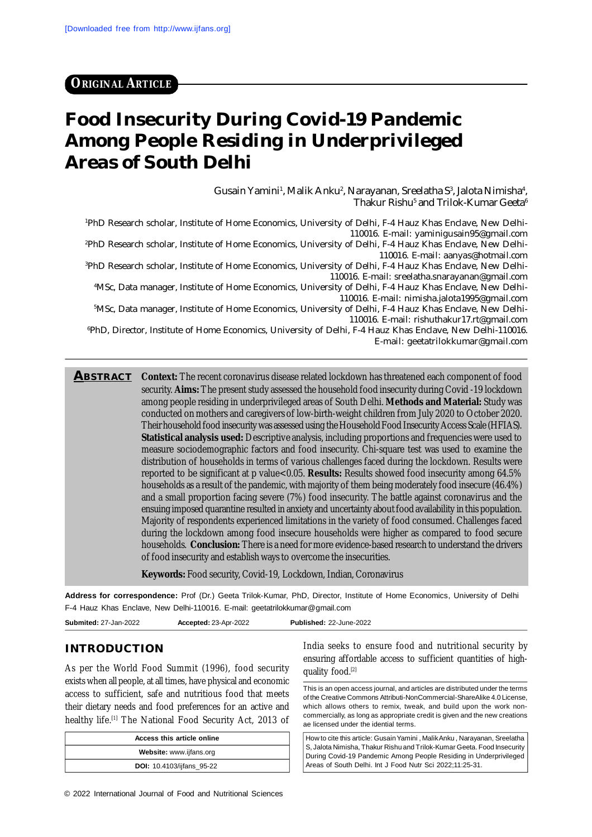# **Food Insecurity During Covid-19 Pandemic Among People Residing in Underprivileged Areas of South Delhi**

Gusain Yamini', Malik Anku $^{\rm 2}$ , Narayanan, Sreelatha S $^{\rm 3}$ , Jalota Nimisha $^{\rm 4}$ , Thakur Rishu $^{\rm 5}$  and Trilok-Kumar Geeta $^{\rm 6}$ 

1PhD Research scholar, Institute of Home Economics, University of Delhi, F-4 Hauz Khas Enclave, New Delhi-110016. E-mail: [yaminigusain95@gmail.com](mailto:yaminigusain95@gmail.com)

2PhD Research scholar, Institute of Home Economics, University of Delhi, F-4 Hauz Khas Enclave, New Delhi-110016. E-mail: [aanyas@hotmail.com](mailto:aanyas@hotmail.com)

<sup>3</sup>PhD Research scholar, Institute of Home Economics, University of Delhi, F-4 Hauz Khas Enclave, New Delhi-110016. E-mail: [sreelatha.snarayanan@gmail.com](mailto:sreelatha.snarayanan@gmail.com)

4MSc, Data manager, Institute of Home Economics, University of Delhi, F-4 Hauz Khas Enclave, New Delhi-110016. E-mail: [nimisha.jalota1995@gmail.com](mailto:nimisha.jalota1995@gmail.com)

5MSc, Data manager, Institute of Home Economics, University of Delhi, F-4 Hauz Khas Enclave, New Delhi-110016. E-mail: [rishuthakur17.rt@gmail.com](mailto:rishuthakur17.rt@gmail.com)

<sup>6</sup>PhD, Director, Institute of Home Economics, University of Delhi, F-4 Hauz Khas Enclave, New Delhi-110016. E-mail: [geetatrilokkumar@gmail.com](mailto:geetatrilokkumar@gmail.com)

**ABSTRACT Context:** The recent coronavirus disease related lockdown has threatened each component of food security. **Aims:** The present study assessed the household food insecurity during Covid -19 lockdown among people residing in underprivileged areas of South Delhi. **Methods and Material:** Study was conducted on mothers and caregivers of low-birth-weight children from July 2020 to October 2020. Their household food insecurity was assessed using the Household Food Insecurity Access Scale (HFIAS). **Statistical analysis used:** Descriptive analysis, including proportions and frequencies were used to measure sociodemographic factors and food insecurity. Chi-square test was used to examine the distribution of households in terms of various challenges faced during the lockdown. Results were reported to be significant at p value<0.05. **Results:** Results showed food insecurity among 64.5% households as a result of the pandemic, with majority of them being moderately food insecure (46.4%) and a small proportion facing severe (7%) food insecurity. The battle against coronavirus and the ensuing imposed quarantine resulted in anxiety and uncertainty about food availability in this population. Majority of respondents experienced limitations in the variety of food consumed. Challenges faced during the lockdown among food insecure households were higher as compared to food secure households. **Conclusion:** There is a need for more evidence-based research to understand the drivers of food insecurity and establish ways to overcome the insecurities.

**Keywords:** Food security, Covid-19, Lockdown, Indian, Coronavirus

**Address for correspondence:** Prof (Dr.) Geeta Trilok-Kumar, PhD, Director, Institute of Home Economics, University of Delhi F-4 Hauz Khas Enclave, New Delhi-110016. E-mail: [geetatrilokkumar@gmail.com](mailto:geetatrilokkumar@gmail.com)

| <b>Submited:</b> 27-Jan-2022 | Accepted: 23-Apr-2022 | <b>Published: 22-June-2022</b> |
|------------------------------|-----------------------|--------------------------------|
|------------------------------|-----------------------|--------------------------------|

#### **INTRODUCTION**

As per the World Food Summit (1996), food security exists when all people, at all times, have physical and economic access to sufficient, safe and nutritious food that meets their dietary needs and food preferences for an active and healthy life.<sup>[1]</sup> The National Food Security Act, 2013 of

| Access this article online       |
|----------------------------------|
| Website: www.ijfans.org          |
| <b>DOI:</b> 10.4103/ijfans_95-22 |

India seeks to ensure food and nutritional security by ensuring affordable access to sufficient quantities of highquality food.<sup>[2]</sup>

This is an open access journal, and articles are distributed under the terms of the Creative Commons Attributi-NonCommercial-ShareAlike 4.0 License, which allows others to remix, tweak, and build upon the work noncommercially, as long as appropriate credit is given and the new creations ae licensed under the idential terms.

How to cite this article: Gusain Yamini , Malik Anku , Narayanan, Sreelatha S, Jalota Nimisha, Thakur Rishu and Trilok-Kumar Geeta. Food Insecurity During Covid-19 Pandemic Among People Residing in Underprivileged Areas of South Delhi. Int J Food Nutr Sci 2022;11:25-31.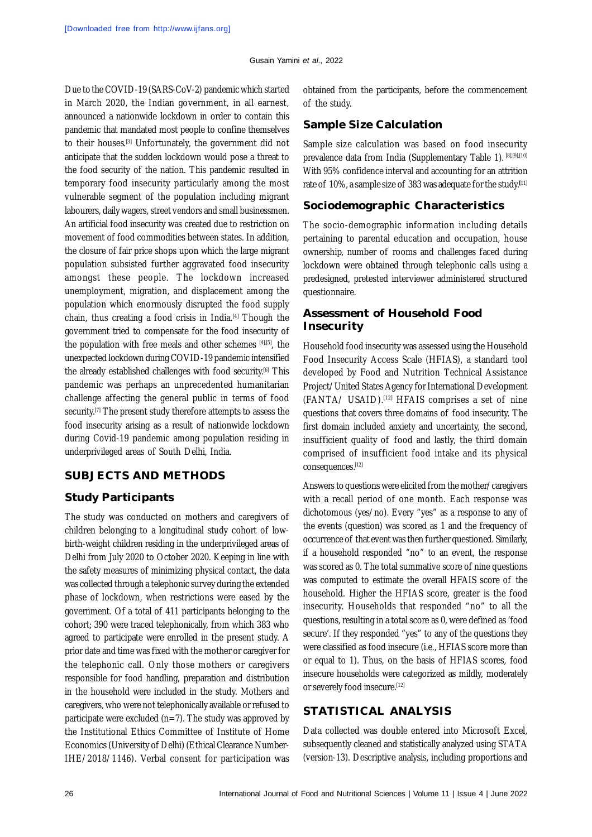Due to the COVID-19 (SARS-CoV-2) pandemic which started in March 2020, the Indian government, in all earnest, announced a nationwide lockdown in order to contain this pandemic that mandated most people to confine themselves to their houses.[3] Unfortunately, the government did not anticipate that the sudden lockdown would pose a threat to the food security of the nation. This pandemic resulted in temporary food insecurity particularly among the most vulnerable segment of the population including migrant labourers, daily wagers, street vendors and small businessmen. An artificial food insecurity was created due to restriction on movement of food commodities between states. In addition, the closure of fair price shops upon which the large migrant population subsisted further aggravated food insecurity amongst these people. The lockdown increased unemployment, migration, and displacement among the population which enormously disrupted the food supply chain, thus creating a food crisis in India.[4] Though the government tried to compensate for the food insecurity of the population with free meals and other schemes [4],[5], the unexpected lockdown during COVID-19 pandemic intensified the already established challenges with food security.<sup>[6]</sup> This pandemic was perhaps an unprecedented humanitarian challenge affecting the general public in terms of food security.<sup>[7]</sup> The present study therefore attempts to assess the food insecurity arising as a result of nationwide lockdown during Covid-19 pandemic among population residing in underprivileged areas of South Delhi, India.

#### **SUBJECTS AND METHODS**

#### **Study Participants**

The study was conducted on mothers and caregivers of children belonging to a longitudinal study cohort of lowbirth-weight children residing in the underprivileged areas of Delhi from July 2020 to October 2020. Keeping in line with the safety measures of minimizing physical contact, the data was collected through a telephonic survey during the extended phase of lockdown, when restrictions were eased by the government. Of a total of 411 participants belonging to the cohort; 390 were traced telephonically, from which 383 who agreed to participate were enrolled in the present study. A prior date and time was fixed with the mother or caregiver for the telephonic call. Only those mothers or caregivers responsible for food handling, preparation and distribution in the household were included in the study. Mothers and caregivers, who were not telephonically available or refused to participate were excluded  $(n=7)$ . The study was approved by the Institutional Ethics Committee of Institute of Home Economics (University of Delhi) (Ethical Clearance Number-IHE/2018/1146). Verbal consent for participation was obtained from the participants, before the commencement of the study.

#### **Sample Size Calculation**

Sample size calculation was based on food insecurity prevalence data from India (Supplementary Table 1). [8],[9],[10] With 95% confidence interval and accounting for an attrition rate of 10%, a sample size of 383 was adequate for the study.**[**11]

#### **Sociodemographic Characteristics**

The socio-demographic information including details pertaining to parental education and occupation, house ownership, number of rooms and challenges faced during lockdown were obtained through telephonic calls using a predesigned, pretested interviewer administered structured questionnaire.

#### **Assessment of Household Food Insecurity**

Household food insecurity was assessed using the Household Food Insecurity Access Scale (HFIAS), a standard tool developed by Food and Nutrition Technical Assistance Project/United States Agency for International Development (FANTA/ USAID).[12] HFAIS comprises a set of nine questions that covers three domains of food insecurity. The first domain included anxiety and uncertainty, the second, insufficient quality of food and lastly, the third domain comprised of insufficient food intake and its physical consequences.[12]

Answers to questions were elicited from the mother/caregivers with a recall period of one month. Each response was dichotomous (yes/no). Every "yes" as a response to any of the events (question) was scored as 1 and the frequency of occurrence of that event was then further questioned. Similarly, if a household responded "no" to an event, the response was scored as 0. The total summative score of nine questions was computed to estimate the overall HFAIS score of the household. Higher the HFIAS score, greater is the food insecurity. Households that responded "no" to all the questions, resulting in a total score as 0, were defined as 'food secure'. If they responded "yes" to any of the questions they were classified as food insecure (i.e., HFIAS score more than or equal to 1). Thus, on the basis of HFIAS scores, food insecure households were categorized as mildly, moderately or severely food insecure.[12]

### **STATISTICAL ANALYSIS**

Data collected was double entered into Microsoft Excel, subsequently cleaned and statistically analyzed using STATA (version-13). Descriptive analysis, including proportions and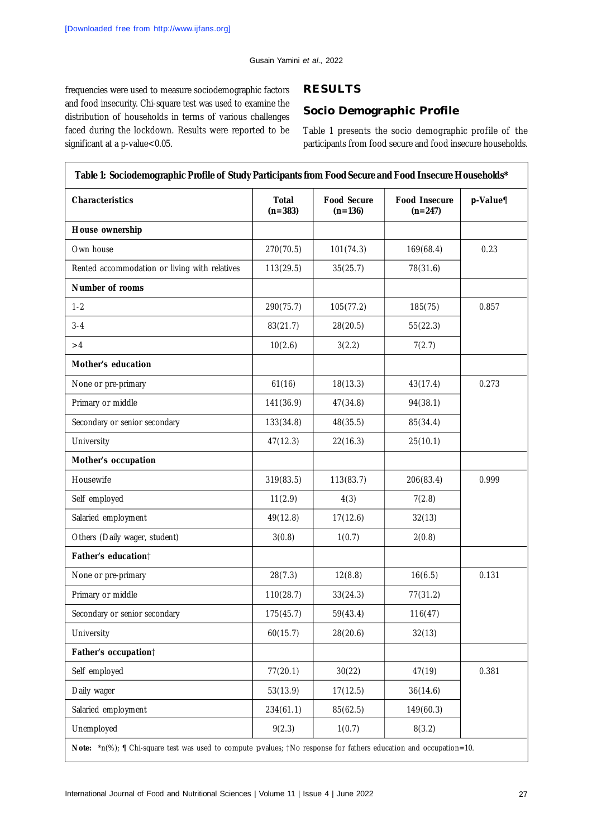frequencies were used to measure sociodemographic factors and food insecurity. Chi-square test was used to examine the distribution of households in terms of various challenges faced during the lockdown. Results were reported to be significant at a p-value<0.05.

## **RESULTS**

# **Socio Demographic Profile**

Table 1 presents the socio demographic profile of the participants from food secure and food insecure households.

| <b>Characteristics</b>                        | <b>Total</b><br>$(n=383)$ | <b>Food Secure</b><br>$(n=136)$ | <b>Food Insecure</b><br>$(n=247)$ | $p$ -Value¶ |
|-----------------------------------------------|---------------------------|---------------------------------|-----------------------------------|-------------|
| House ownership                               |                           |                                 |                                   |             |
| Own house                                     | 270(70.5)                 | 101(74.3)                       | 169(68.4)                         | 0.23        |
| Rented accommodation or living with relatives | 113(29.5)                 | 35(25.7)                        | 78(31.6)                          |             |
| Number of rooms                               |                           |                                 |                                   |             |
| $1 - 2$                                       | 290(75.7)                 | 105(77.2)                       | 185(75)                           | 0.857       |
| $3 - 4$                                       | 83(21.7)                  | 28(20.5)                        | 55(22.3)                          |             |
| >4                                            | 10(2.6)                   | 3(2.2)                          | 7(2.7)                            |             |
| Mother's education                            |                           |                                 |                                   |             |
| None or pre-primary                           | 61(16)                    | 18(13.3)                        | 43(17.4)                          | 0.273       |
| Primary or middle                             | 141(36.9)                 | 47(34.8)                        | 94(38.1)                          |             |
| Secondary or senior secondary                 | 133(34.8)                 | 48(35.5)                        | 85(34.4)                          |             |
| University                                    | 47(12.3)                  | 22(16.3)                        | 25(10.1)                          |             |
| Mother's occupation                           |                           |                                 |                                   |             |
| Housewife                                     | 319(83.5)                 | 113(83.7)                       | 206(83.4)                         | 0.999       |
| Self employed                                 | 11(2.9)                   | 4(3)                            | 7(2.8)                            |             |
| Salaried employment                           | 49(12.8)                  | 17(12.6)                        | 32(13)                            |             |
| Others (Daily wager, student)                 | 3(0.8)                    | 1(0.7)                          | 2(0.8)                            |             |
| Father's education <sup>†</sup>               |                           |                                 |                                   |             |
| None or pre-primary                           | 28(7.3)                   | 12(8.8)                         | 16(6.5)                           | 0.131       |
| Primary or middle                             | 110(28.7)                 | 33(24.3)                        | 77(31.2)                          |             |
| Secondary or senior secondary                 | 175(45.7)                 | 59(43.4)                        | 116(47)                           |             |
| University                                    | 60(15.7)                  | 28(20.6)                        | 32(13)                            |             |
| Father's occupation†                          |                           |                                 |                                   |             |
| Self employed                                 | 77(20.1)                  | 30(22)                          | 47(19)                            | 0.381       |
| Daily wager                                   | 53(13.9)                  | 17(12.5)                        | 36(14.6)                          |             |
| Salaried employment                           | 234(61.1)                 | 85(62.5)                        | 149(60.3)                         |             |
| Unemployed                                    | 9(2.3)                    | 1(0.7)                          | 8(3.2)                            |             |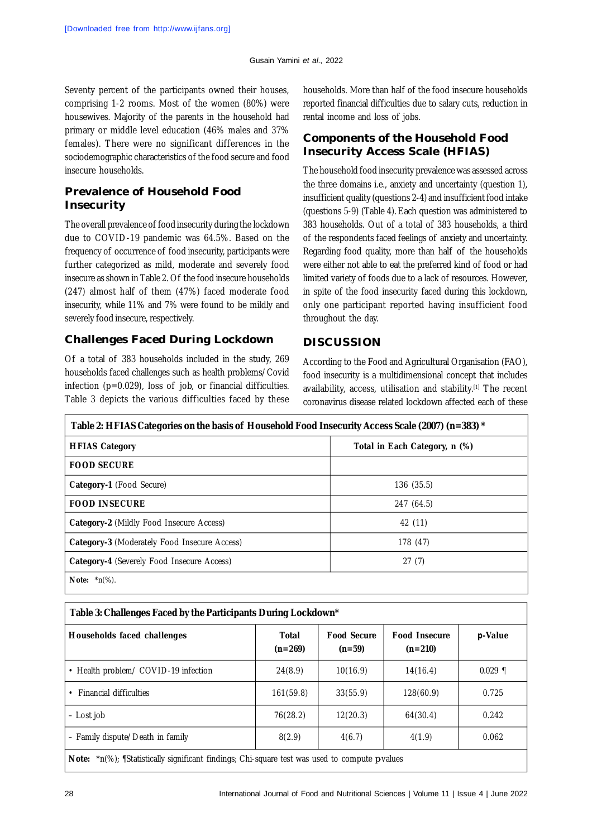Seventy percent of the participants owned their houses, comprising 1-2 rooms. Most of the women (80%) were housewives. Majority of the parents in the household had primary or middle level education (46% males and 37% females). There were no significant differences in the sociodemographic characteristics of the food secure and food insecure households.

### **Prevalence of Household Food Insecurity**

The overall prevalence of food insecurity during the lockdown due to COVID-19 pandemic was 64.5%. Based on the frequency of occurrence of food insecurity, participants were further categorized as mild, moderate and severely food insecure as shown in Table 2. Of the food insecure households (247) almost half of them (47%) faced moderate food insecurity, while 11% and 7% were found to be mildly and severely food insecure, respectively.

## **Challenges Faced During Lockdown**

Of a total of 383 households included in the study, 269 households faced challenges such as health problems/Covid infection (p=0.029), loss of job, or financial difficulties. Table 3 depicts the various difficulties faced by these

households. More than half of the food insecure households reported financial difficulties due to salary cuts, reduction in rental income and loss of jobs.

### **Components of the Household Food Insecurity Access Scale (HFIAS)**

The household food insecurity prevalence was assessed across the three domains i.e., anxiety and uncertainty (question 1), insufficient quality (questions 2-4) and insufficient food intake (questions 5-9) (Table 4).Each question was administered to 383 households. Out of a total of 383 households, a third of the respondents faced feelings of anxiety and uncertainty. Regarding food quality, more than half of the households were either not able to eat the preferred kind of food or had limited variety of foods due to a lack of resources. However, in spite of the food insecurity faced during this lockdown, only one participant reported having insufficient food throughout the day.

## **DISCUSSION**

According to the Food and Agricultural Organisation (FAO), food insecurity is a multidimensional concept that includes availability, access, utilisation and stability.[1] The recent coronavirus disease related lockdown affected each of these

| Table 2: HFIAS Categories on the basis of Household Food Insecurity Access Scale (2007) (n=383) * |                               |  |  |
|---------------------------------------------------------------------------------------------------|-------------------------------|--|--|
| <b>HFIAS Category</b>                                                                             | Total in Each Category, n (%) |  |  |
| <b>FOOD SECURE</b>                                                                                |                               |  |  |
| Category-1 (Food Secure)                                                                          | 136(35.5)                     |  |  |
| <b>FOOD INSECURE</b>                                                                              | 247 (64.5)                    |  |  |
| Category-2 (Mildly Food Insecure Access)                                                          | 42 (11)                       |  |  |
| Category-3 (Moderately Food Insecure Access)                                                      | 178 (47)                      |  |  |
| <b>Category-4</b> (Severely Food Insecure Access)                                                 | 27(7)                         |  |  |
| <b>Note:</b> $*n(\%)$ .                                                                           |                               |  |  |

| Table 3: Challenges Faced by the Participants During Lockdown* |  |
|----------------------------------------------------------------|--|
|                                                                |  |

| Households faced challenges                                                                                | Total<br>$(n=269)$ | <b>Food Secure</b><br>$(n=59)$ | <b>Food Insecure</b><br>$(n=210)$ | p-Value   |
|------------------------------------------------------------------------------------------------------------|--------------------|--------------------------------|-----------------------------------|-----------|
| • Health problem/ COVID-19 infection                                                                       | 24(8.9)            | 10(16.9)                       | 14(16.4)                          | $0.029$ ¶ |
| <b>Financial difficulties</b>                                                                              | 161(59.8)          | 33(55.9)                       | 128(60.9)                         | 0.725     |
| - Lost job                                                                                                 | 76(28.2)           | 12(20.3)                       | 64(30.4)                          | 0.242     |
| - Family dispute/Death in family                                                                           | 8(2.9)             | 4(6.7)                         | 4(1.9)                            | 0.062     |
| <b>Note:</b> $\pi$ n(%); [Statistically significant findings; Chi-square test was used to compute p-values |                    |                                |                                   |           |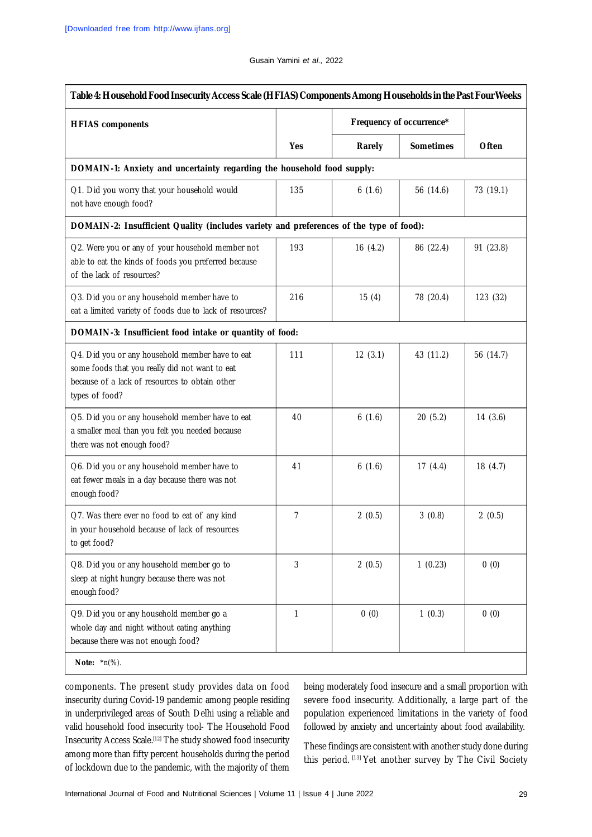| Table 4: Household Food Insecurity Access Scale (HFIAS) Components Among Households in the Past Four Weeks                                                            |                |                          |                  |           |
|-----------------------------------------------------------------------------------------------------------------------------------------------------------------------|----------------|--------------------------|------------------|-----------|
| <b>HFIAS</b> components                                                                                                                                               |                | Frequency of occurrence* |                  |           |
|                                                                                                                                                                       | <b>Yes</b>     | Rarely                   | <b>Sometimes</b> | Often     |
| DOMAIN-1: Anxiety and uncertainty regarding the household food supply:                                                                                                |                |                          |                  |           |
| Q1. Did you worry that your household would<br>not have enough food?                                                                                                  | 135            | 6(1.6)                   | 56 (14.6)        | 73 (19.1) |
| DOMAIN-2: Insufficient Quality (includes variety and preferences of the type of food):                                                                                |                |                          |                  |           |
| Q2. Were you or any of your household member not<br>able to eat the kinds of foods you preferred because<br>of the lack of resources?                                 | 193            | 16(4.2)                  | 86 (22.4)        | 91 (23.8) |
| Q3. Did you or any household member have to<br>eat a limited variety of foods due to lack of resources?                                                               | 216            | 15(4)                    | 78 (20.4)        | 123 (32)  |
| DOMAIN-3: Insufficient food intake or quantity of food:                                                                                                               |                |                          |                  |           |
| Q4. Did you or any household member have to eat<br>some foods that you really did not want to eat<br>because of a lack of resources to obtain other<br>types of food? | 111            | 12(3.1)                  | 43 (11.2)        | 56 (14.7) |
| Q5. Did you or any household member have to eat<br>a smaller meal than you felt you needed because<br>there was not enough food?                                      | 40             | 6(1.6)                   | 20(5.2)          | 14(3.6)   |
| Q6. Did you or any household member have to<br>eat fewer meals in a day because there was not<br>enough food?                                                         | 41             | 6(1.6)                   | 17(4.4)          | 18(4.7)   |
| Q7. Was there ever no food to eat of any kind<br>in your household because of lack of resources<br>to get food?                                                       | $\overline{7}$ | 2(0.5)                   | 3(0.8)           | 2(0.5)    |
| Q8. Did you or any household member go to<br>sleep at night hungry because there was not<br>enough food?                                                              | $\mathbf{3}$   | 2(0.5)                   | 1(0.23)          | 0(0)      |
| Q9. Did you or any household member go a<br>whole day and night without eating anything<br>because there was not enough food?                                         | 1              | 0(0)                     | 1(0.3)           | 0(0)      |

components. The present study provides data on food insecurity during Covid-19 pandemic among people residing in underprivileged areas of South Delhi using a reliable and valid household food insecurity tool- The Household Food Insecurity Access Scale.[12] The study showed food insecurity among more than fifty percent households during the period of lockdown due to the pandemic, with the majority of them

being moderately food insecure and a small proportion with severe food insecurity. Additionally, a large part of the population experienced limitations in the variety of food followed by anxiety and uncertainty about food availability.

These findings are consistent with another study done during this period. [13] Yet another survey by The Civil Society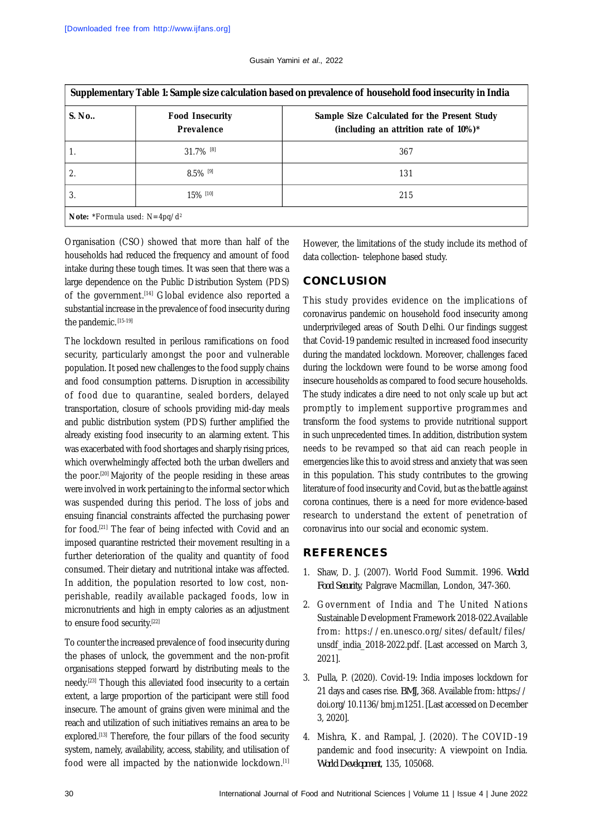| S. No. | <b>Food Insecurity</b><br>Prevalence | Sample Size Calculated for the Present Study<br>(including an attrition rate of 10%)* |
|--------|--------------------------------------|---------------------------------------------------------------------------------------|
|        | $31.7\%$ <sup>[8]</sup>              | 367                                                                                   |
| 2.     | $8.5\%$ <sup>[9]</sup>               | 131                                                                                   |
| 3.     | 15% [10]                             | 215                                                                                   |

Organisation (CSO) showed that more than half of the households had reduced the frequency and amount of food intake during these tough times. It was seen that there was a large dependence on the Public Distribution System (PDS) of the government.[14] Global evidence also reported a substantial increase in the prevalence of food insecurity during the pandemic. [15-19]

The lockdown resulted in perilous ramifications on food security, particularly amongst the poor and vulnerable population. It posed new challenges to the food supply chains and food consumption patterns. Disruption in accessibility of food due to quarantine, sealed borders, delayed transportation, closure of schools providing mid-day meals and public distribution system (PDS) further amplified the already existing food insecurity to an alarming extent. This was exacerbated with food shortages and sharply rising prices, which overwhelmingly affected both the urban dwellers and the poor.[20] Majority of the people residing in these areas were involved in work pertaining to the informal sector which was suspended during this period. The loss of jobs and ensuing financial constraints affected the purchasing power for food.[21] The fear of being infected with Covid and an imposed quarantine restricted their movement resulting in a further deterioration of the quality and quantity of food consumed. Their dietary and nutritional intake was affected. In addition, the population resorted to low cost, nonperishable, readily available packaged foods, low in micronutrients and high in empty calories as an adjustment to ensure food security.[22]

To counter the increased prevalence of food insecurity during the phases of unlock, the government and the non-profit organisations stepped forward by distributing meals to the needy.[23] Though this alleviated food insecurity to a certain extent, a large proportion of the participant were still food insecure. The amount of grains given were minimal and the reach and utilization of such initiatives remains an area to be explored.<sup>[13]</sup> Therefore, the four pillars of the food security system, namely, availability, access, stability, and utilisation of food were all impacted by the nationwide lockdown.[1] However, the limitations of the study include its method of data collection- telephone based study.

## **CONCLUSION**

This study provides evidence on the implications of coronavirus pandemic on household food insecurity among underprivileged areas of South Delhi. Our findings suggest that Covid-19 pandemic resulted in increased food insecurity during the mandated lockdown. Moreover, challenges faced during the lockdown were found to be worse among food insecure households as compared to food secure households. The study indicates a dire need to not only scale up but act promptly to implement supportive programmes and transform the food systems to provide nutritional support in such unprecedented times. In addition, distribution system needs to be revamped so that aid can reach people in emergencies like this to avoid stress and anxiety that was seen in this population. This study contributes to the growing literature of food insecurity and Covid, but as the battle against corona continues, there is a need for more evidence-based research to understand the extent of penetration of coronavirus into our social and economic system.

# **REFERENCES**

- 1. Shaw, D. J. (2007). World Food Summit. 1996. *World Food Security*, Palgrave Macmillan, London, 347-360.
- 2. Government of India and The United Nations Sustainable Development Framework 2018-022.Available from: <https://en.unesco.org/sites/default/files/> unsdf\_india\_2018-2022.pdf. [Last accessed on March 3, 2021].
- 3. Pulla, P. (2020). Covid-19: India imposes lockdown for 21 days and cases rise. *BMJ,* 368. Available from:<https://> doi.org/10.1136/bmj.m1251. [Last accessed on December 3, 2020].
- 4. Mishra, K. and Rampal, J. (2020). The COVID-19 pandemic and food insecurity: A viewpoint on India. *World Development*, 135, 105068.